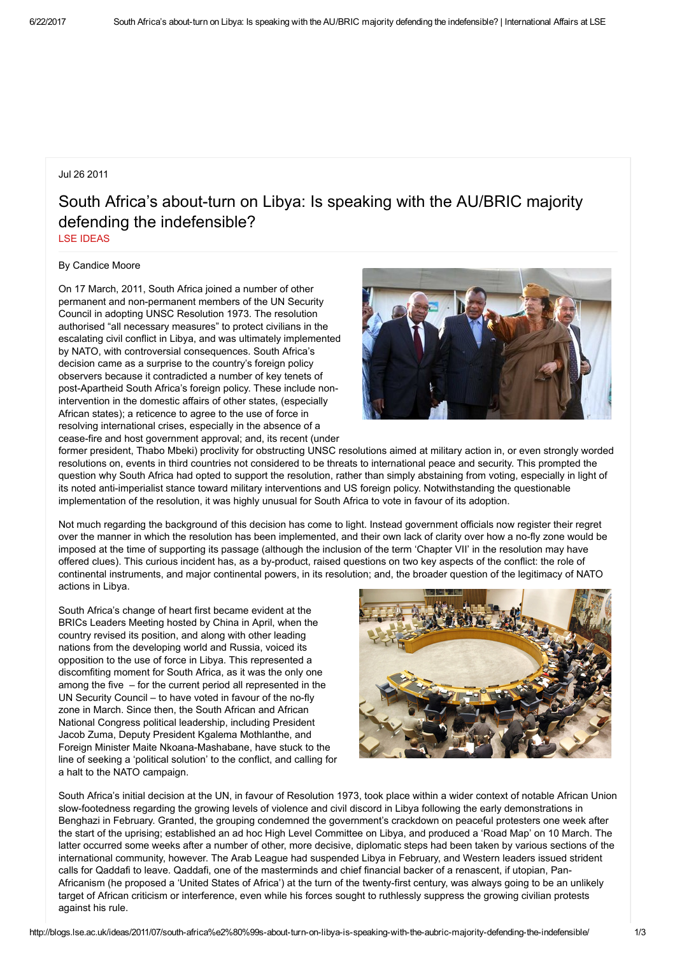## Jul 26 2011

## South Africa's about-turn on Libya: Is speaking with the AU/BRIC majority defending the indefensible? LSE [IDEAS](http://blogs.lse.ac.uk/ideas/author/mcneilr/)

By Candice Moore

On 17 March, 2011, South Africa joined a number of other permanent and non-permanent members of the UN Security Council in adopting UNSC Resolution 1973. The resolution authorised "all necessary measures" to protect civilians in the escalating civil conflict in Libya, and was ultimately implemented by NATO, with controversial consequences. South Africa's decision came as a surprise to the country's foreign policy observers because it contradicted a number of key tenets of post-Apartheid South Africa's foreign policy. These include nonintervention in the domestic affairs of other states, (especially African states); a reticence to agree to the use of force in resolving international crises, especially in the absence of a cease-fire and host government approval; and, its recent (under



former president, Thabo Mbeki) proclivity for obstructing UNSC resolutions aimed at military action in, or even strongly worded resolutions on, events in third countries not considered to be threats to international peace and security. This prompted the question why South Africa had opted to support the resolution, rather than simply abstaining from voting, especially in light of its noted anti-imperialist stance toward military interventions and US foreign policy. Notwithstanding the questionable implementation of the resolution, it was highly unusual for South Africa to vote in favour of its adoption.

Not much regarding the background of this decision has come to light. Instead government officials now register their regret over the manner in which the resolution has been implemented, and their own lack of clarity over how a no-fly zone would be imposed at the time of supporting its passage (although the inclusion of the term 'Chapter VII' in the resolution may have offered clues). This curious incident has, as a by-product, raised questions on two key aspects of the conflict: the role of continental instruments, and major continental powers, in its resolution; and, the broader question of the legitimacy of NATO actions in Libya.

South Africa's change of heart first became evident at the BRICs Leaders Meeting hosted by China in April, when the country revised its position, and along with other leading nations from the developing world and Russia, voiced its opposition to the use of force in Libya. This represented a discomfiting moment for South Africa, as it was the only one among the five – for the current period all represented in the UN Security Council – to have voted in favour of the no-fly zone in March. Since then, the South African and African National Congress political leadership, including President Jacob Zuma, Deputy President Kgalema Mothlanthe, and Foreign Minister Maite Nkoana-Mashabane, have stuck to the line of seeking a 'political solution' to the conflict, and calling for a halt to the NATO campaign.



South Africa's initial decision at the UN, in favour of Resolution 1973, took place within a wider context of notable African Union slow-footedness regarding the growing levels of violence and civil discord in Libya following the early demonstrations in Benghazi in February. Granted, the grouping condemned the government's crackdown on peaceful protesters one week after the start of the uprising; established an ad hoc High Level Committee on Libya, and produced a 'Road Map' on 10 March. The latter occurred some weeks after a number of other, more decisive, diplomatic steps had been taken by various sections of the international community, however. The Arab League had suspended Libya in February, and Western leaders issued strident calls for Qaddafi to leave. Qaddafi, one of the masterminds and chief financial backer of a renascent, if utopian, Pan-Africanism (he proposed a 'United States of Africa') at the turn of the twenty-first century, was always going to be an unlikely target of African criticism or interference, even while his forces sought to ruthlessly suppress the growing civilian protests against his rule.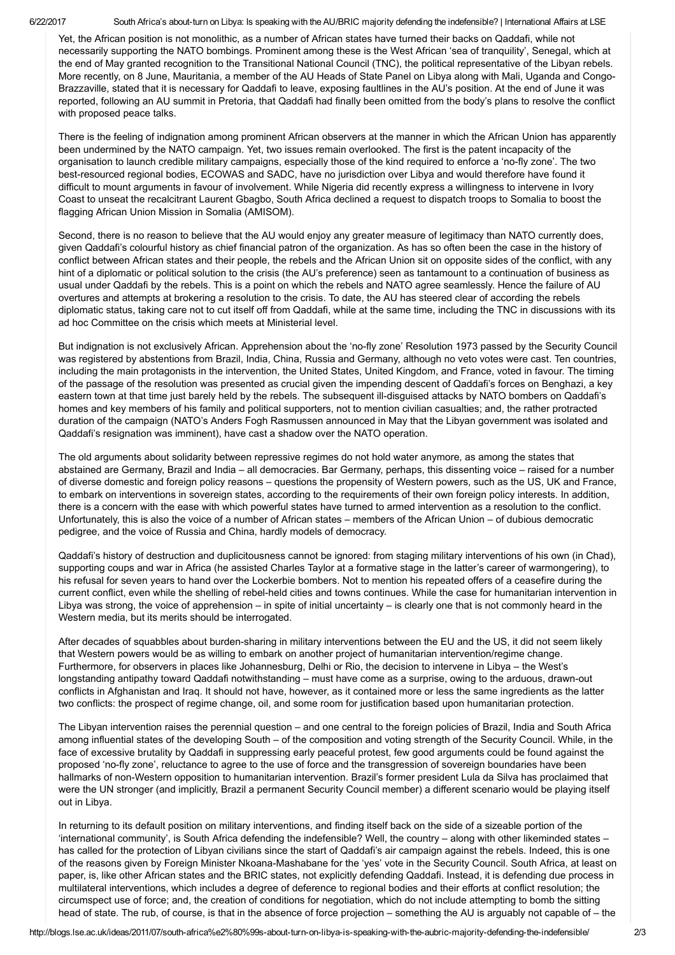6/22/2017 South Africa's about-turn on Libya: Is speaking with the AU/BRIC majority defending the indefensible? I International Affairs at LSE

Yet, the African position is not monolithic, as a number of African states have turned their backs on Qaddafi, while not necessarily supporting the NATO bombings. Prominent among these is the West African 'sea of tranquility', Senegal, which at the end of May granted recognition to the Transitional National Council (TNC), the political representative of the Libyan rebels. More recently, on 8 June, Mauritania, a member of the AU Heads of State Panel on Libya along with Mali, Uganda and Congo-Brazzaville, stated that it is necessary for Qaddafi to leave, exposing faultlines in the AU's position. At the end of June it was reported, following an AU summit in Pretoria, that Qaddafi had finally been omitted from the body's plans to resolve the conflict with proposed peace talks.

There is the feeling of indignation among prominent African observers at the manner in which the African Union has apparently been undermined by the NATO campaign. Yet, two issues remain overlooked. The first is the patent incapacity of the organisation to launch credible military campaigns, especially those of the kind required to enforce a 'no-fly zone'. The two best-resourced regional bodies, ECOWAS and SADC, have no jurisdiction over Libya and would therefore have found it difficult to mount arguments in favour of involvement. While Nigeria did recently express a willingness to intervene in Ivory Coast to unseat the recalcitrant Laurent Gbagbo, South Africa declined a request to dispatch troops to Somalia to boost the flagging African Union Mission in Somalia (AMISOM).

Second, there is no reason to believe that the AU would enjoy any greater measure of legitimacy than NATO currently does, given Qaddafi's colourful history as chief financial patron of the organization. As has so often been the case in the history of conflict between African states and their people, the rebels and the African Union sit on opposite sides of the conflict, with any hint of a diplomatic or political solution to the crisis (the AU's preference) seen as tantamount to a continuation of business as usual under Qaddafi by the rebels. This is a point on which the rebels and NATO agree seamlessly. Hence the failure of AU overtures and attempts at brokering a resolution to the crisis. To date, the AU has steered clear of according the rebels diplomatic status, taking care not to cut itself off from Qaddafi, while at the same time, including the TNC in discussions with its ad hoc Committee on the crisis which meets at Ministerial level.

But indignation is not exclusively African. Apprehension about the 'no-fly zone' Resolution 1973 passed by the Security Council was registered by abstentions from Brazil, India, China, Russia and Germany, although no veto votes were cast. Ten countries, including the main protagonists in the intervention, the United States, United Kingdom, and France, voted in favour. The timing of the passage of the resolution was presented as crucial given the impending descent of Qaddafi's forces on Benghazi, a key eastern town at that time just barely held by the rebels. The subsequent ill-disguised attacks by NATO bombers on Qaddafi's homes and key members of his family and political supporters, not to mention civilian casualties; and, the rather protracted duration of the campaign (NATO's Anders Fogh Rasmussen announced in May that the Libyan government was isolated and Qaddafi's resignation was imminent), have cast a shadow over the NATO operation.

The old arguments about solidarity between repressive regimes do not hold water anymore, as among the states that abstained are Germany, Brazil and India – all democracies. Bar Germany, perhaps, this dissenting voice – raised for a number of diverse domestic and foreign policy reasons – questions the propensity of Western powers, such as the US, UK and France, to embark on interventions in sovereign states, according to the requirements of their own foreign policy interests. In addition, there is a concern with the ease with which powerful states have turned to armed intervention as a resolution to the conflict. Unfortunately, this is also the voice of a number of African states – members of the African Union – of dubious democratic pedigree, and the voice of Russia and China, hardly models of democracy.

Qaddafi's history of destruction and duplicitousness cannot be ignored: from staging military interventions of his own (in Chad), supporting coups and war in Africa (he assisted Charles Taylor at a formative stage in the latter's career of warmongering), to his refusal for seven years to hand over the Lockerbie bombers. Not to mention his repeated offers of a ceasefire during the current conflict, even while the shelling of rebel-held cities and towns continues. While the case for humanitarian intervention in Libya was strong, the voice of apprehension – in spite of initial uncertainty – is clearly one that is not commonly heard in the Western media, but its merits should be interrogated.

After decades of squabbles about burden-sharing in military interventions between the EU and the US, it did not seem likely that Western powers would be as willing to embark on another project of humanitarian intervention/regime change. Furthermore, for observers in places like Johannesburg, Delhi or Rio, the decision to intervene in Libya – the West's longstanding antipathy toward Qaddafi notwithstanding – must have come as a surprise, owing to the arduous, drawn-out conflicts in Afghanistan and Iraq. It should not have, however, as it contained more or less the same ingredients as the latter two conflicts: the prospect of regime change, oil, and some room for justification based upon humanitarian protection.

The Libyan intervention raises the perennial question – and one central to the foreign policies of Brazil, India and South Africa among influential states of the developing South – of the composition and voting strength of the Security Council. While, in the face of excessive brutality by Qaddafi in suppressing early peaceful protest, few good arguments could be found against the proposed 'no-fly zone', reluctance to agree to the use of force and the transgression of sovereign boundaries have been hallmarks of non-Western opposition to humanitarian intervention. Brazil's former president Lula da Silva has proclaimed that were the UN stronger (and implicitly, Brazil a permanent Security Council member) a different scenario would be playing itself out in Libya.

In returning to its default position on military interventions, and finding itself back on the side of a sizeable portion of the 'international community', is South Africa defending the indefensible? Well, the country – along with other likeminded states – has called for the protection of Libyan civilians since the start of Qaddafi's air campaign against the rebels. Indeed, this is one of the reasons given by Foreign Minister Nkoana-Mashabane for the 'yes' vote in the Security Council. South Africa, at least on paper, is, like other African states and the BRIC states, not explicitly defending Qaddafi. Instead, it is defending due process in multilateral interventions, which includes a degree of deference to regional bodies and their efforts at conflict resolution; the circumspect use of force; and, the creation of conditions for negotiation, which do not include attempting to bomb the sitting head of state. The rub, of course, is that in the absence of force projection – something the AU is arguably not capable of – the